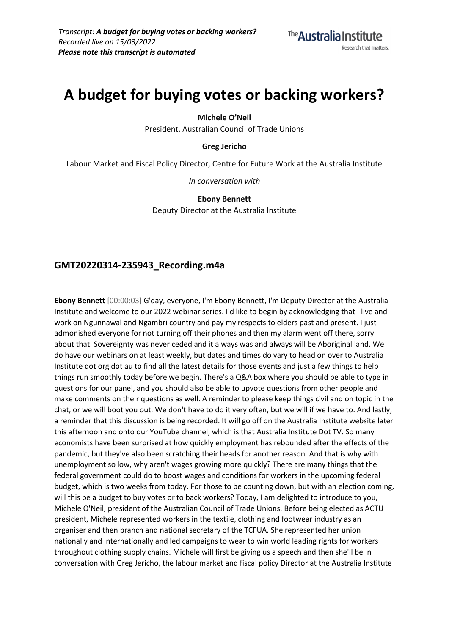# **A budget for buying votes or backing workers?**

**Michele O'Neil**

President, Australian Council of Trade Unions

**Greg Jericho**

Labour Market and Fiscal Policy Director, Centre for Future Work at the Australia Institute

*In conversation with*

**Ebony Bennett** Deputy Director at the Australia Institute

# **GMT20220314-235943\_Recording.m4a**

**Ebony Bennett** [00:00:03] G'day, everyone, I'm Ebony Bennett, I'm Deputy Director at the Australia Institute and welcome to our 2022 webinar series. I'd like to begin by acknowledging that I live and work on Ngunnawal and Ngambri country and pay my respects to elders past and present. I just admonished everyone for not turning off their phones and then my alarm went off there, sorry about that. Sovereignty was never ceded and it always was and always will be Aboriginal land. We do have our webinars on at least weekly, but dates and times do vary to head on over to Australia Institute dot org dot au to find all the latest details for those events and just a few things to help things run smoothly today before we begin. There's a Q&A box where you should be able to type in questions for our panel, and you should also be able to upvote questions from other people and make comments on their questions as well. A reminder to please keep things civil and on topic in the chat, or we will boot you out. We don't have to do it very often, but we will if we have to. And lastly, a reminder that this discussion is being recorded. It will go off on the Australia Institute website later this afternoon and onto our YouTube channel, which is that Australia Institute Dot TV. So many economists have been surprised at how quickly employment has rebounded after the effects of the pandemic, but they've also been scratching their heads for another reason. And that is why with unemployment so low, why aren't wages growing more quickly? There are many things that the federal government could do to boost wages and conditions for workers in the upcoming federal budget, which is two weeks from today. For those to be counting down, but with an election coming, will this be a budget to buy votes or to back workers? Today, I am delighted to introduce to you, Michele O'Neil, president of the Australian Council of Trade Unions. Before being elected as ACTU president, Michele represented workers in the textile, clothing and footwear industry as an organiser and then branch and national secretary of the TCFUA. She represented her union nationally and internationally and led campaigns to wear to win world leading rights for workers throughout clothing supply chains. Michele will first be giving us a speech and then she'll be in conversation with Greg Jericho, the labour market and fiscal policy Director at the Australia Institute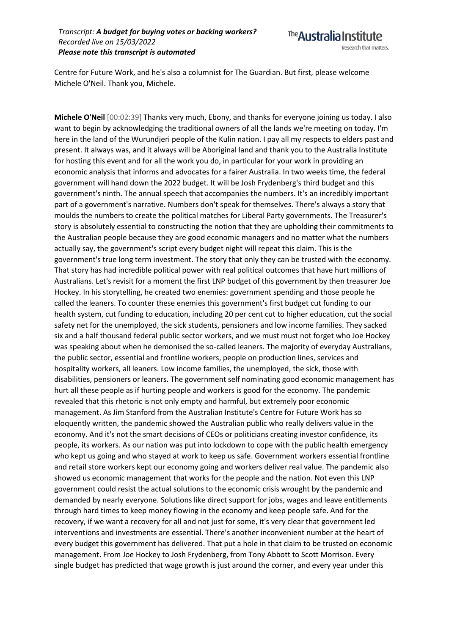

Centre for Future Work, and he's also a columnist for The Guardian. But first, please welcome Michele O'Neil. Thank you, Michele.

**Michele O'Neil** [00:02:39] Thanks very much, Ebony, and thanks for everyone joining us today. I also want to begin by acknowledging the traditional owners of all the lands we're meeting on today. I'm here in the land of the Wurundjeri people of the Kulin nation. I pay all my respects to elders past and present. It always was, and it always will be Aboriginal land and thank you to the Australia Institute for hosting this event and for all the work you do, in particular for your work in providing an economic analysis that informs and advocates for a fairer Australia. In two weeks time, the federal government will hand down the 2022 budget. It will be Josh Frydenberg's third budget and this government's ninth. The annual speech that accompanies the numbers. It's an incredibly important part of a government's narrative. Numbers don't speak for themselves. There's always a story that moulds the numbers to create the political matches for Liberal Party governments. The Treasurer's story is absolutely essential to constructing the notion that they are upholding their commitments to the Australian people because they are good economic managers and no matter what the numbers actually say, the government's script every budget night will repeat this claim. This is the government's true long term investment. The story that only they can be trusted with the economy. That story has had incredible political power with real political outcomes that have hurt millions of Australians. Let's revisit for a moment the first LNP budget of this government by then treasurer Joe Hockey. In his storytelling, he created two enemies: government spending and those people he called the leaners. To counter these enemies this government's first budget cut funding to our health system, cut funding to education, including 20 per cent cut to higher education, cut the social safety net for the unemployed, the sick students, pensioners and low income families. They sacked six and a half thousand federal public sector workers, and we must must not forget who Joe Hockey was speaking about when he demonised the so-called leaners. The majority of everyday Australians, the public sector, essential and frontline workers, people on production lines, services and hospitality workers, all leaners. Low income families, the unemployed, the sick, those with disabilities, pensioners or leaners. The government self nominating good economic management has hurt all these people as if hurting people and workers is good for the economy. The pandemic revealed that this rhetoric is not only empty and harmful, but extremely poor economic management. As Jim Stanford from the Australian Institute's Centre for Future Work has so eloquently written, the pandemic showed the Australian public who really delivers value in the economy. And it's not the smart decisions of CEOs or politicians creating investor confidence, its people, its workers. As our nation was put into lockdown to cope with the public health emergency who kept us going and who stayed at work to keep us safe. Government workers essential frontline and retail store workers kept our economy going and workers deliver real value. The pandemic also showed us economic management that works for the people and the nation. Not even this LNP government could resist the actual solutions to the economic crisis wrought by the pandemic and demanded by nearly everyone. Solutions like direct support for jobs, wages and leave entitlements through hard times to keep money flowing in the economy and keep people safe. And for the recovery, if we want a recovery for all and not just for some, it's very clear that government led interventions and investments are essential. There's another inconvenient number at the heart of every budget this government has delivered. That put a hole in that claim to be trusted on economic management. From Joe Hockey to Josh Frydenberg, from Tony Abbott to Scott Morrison. Every single budget has predicted that wage growth is just around the corner, and every year under this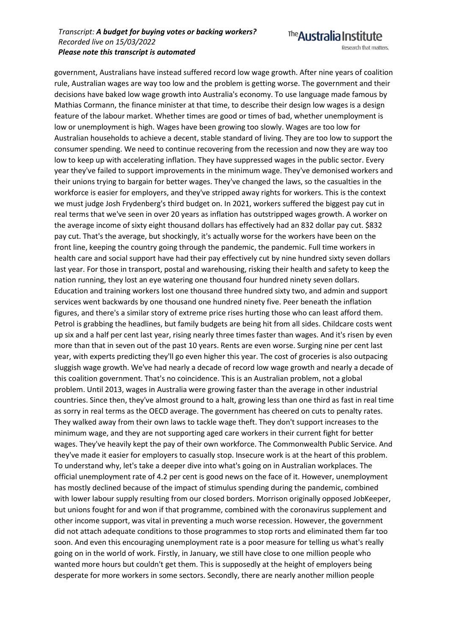Research that matters.

The **Australia Institute** 

government, Australians have instead suffered record low wage growth. After nine years of coalition rule, Australian wages are way too low and the problem is getting worse. The government and their decisions have baked low wage growth into Australia's economy. To use language made famous by Mathias Cormann, the finance minister at that time, to describe their design low wages is a design feature of the labour market. Whether times are good or times of bad, whether unemployment is low or unemployment is high. Wages have been growing too slowly. Wages are too low for Australian households to achieve a decent, stable standard of living. They are too low to support the consumer spending. We need to continue recovering from the recession and now they are way too low to keep up with accelerating inflation. They have suppressed wages in the public sector. Every year they've failed to support improvements in the minimum wage. They've demonised workers and their unions trying to bargain for better wages. They've changed the laws, so the casualties in the workforce is easier for employers, and they've stripped away rights for workers. This is the context we must judge Josh Frydenberg's third budget on. In 2021, workers suffered the biggest pay cut in real terms that we've seen in over 20 years as inflation has outstripped wages growth. A worker on the average income of sixty eight thousand dollars has effectively had an 832 dollar pay cut. \$832 pay cut. That's the average, but shockingly, it's actually worse for the workers have been on the front line, keeping the country going through the pandemic, the pandemic. Full time workers in health care and social support have had their pay effectively cut by nine hundred sixty seven dollars last year. For those in transport, postal and warehousing, risking their health and safety to keep the nation running, they lost an eye watering one thousand four hundred ninety seven dollars. Education and training workers lost one thousand three hundred sixty two, and admin and support services went backwards by one thousand one hundred ninety five. Peer beneath the inflation figures, and there's a similar story of extreme price rises hurting those who can least afford them. Petrol is grabbing the headlines, but family budgets are being hit from all sides. Childcare costs went up six and a half per cent last year, rising nearly three times faster than wages. And it's risen by even more than that in seven out of the past 10 years. Rents are even worse. Surging nine per cent last year, with experts predicting they'll go even higher this year. The cost of groceries is also outpacing sluggish wage growth. We've had nearly a decade of record low wage growth and nearly a decade of this coalition government. That's no coincidence. This is an Australian problem, not a global problem. Until 2013, wages in Australia were growing faster than the average in other industrial countries. Since then, they've almost ground to a halt, growing less than one third as fast in real time as sorry in real terms as the OECD average. The government has cheered on cuts to penalty rates. They walked away from their own laws to tackle wage theft. They don't support increases to the minimum wage, and they are not supporting aged care workers in their current fight for better wages. They've heavily kept the pay of their own workforce. The Commonwealth Public Service. And they've made it easier for employers to casually stop. Insecure work is at the heart of this problem. To understand why, let's take a deeper dive into what's going on in Australian workplaces. The official unemployment rate of 4.2 per cent is good news on the face of it. However, unemployment has mostly declined because of the impact of stimulus spending during the pandemic, combined with lower labour supply resulting from our closed borders. Morrison originally opposed JobKeeper, but unions fought for and won if that programme, combined with the coronavirus supplement and other income support, was vital in preventing a much worse recession. However, the government did not attach adequate conditions to those programmes to stop rorts and eliminated them far too soon. And even this encouraging unemployment rate is a poor measure for telling us what's really going on in the world of work. Firstly, in January, we still have close to one million people who wanted more hours but couldn't get them. This is supposedly at the height of employers being desperate for more workers in some sectors. Secondly, there are nearly another million people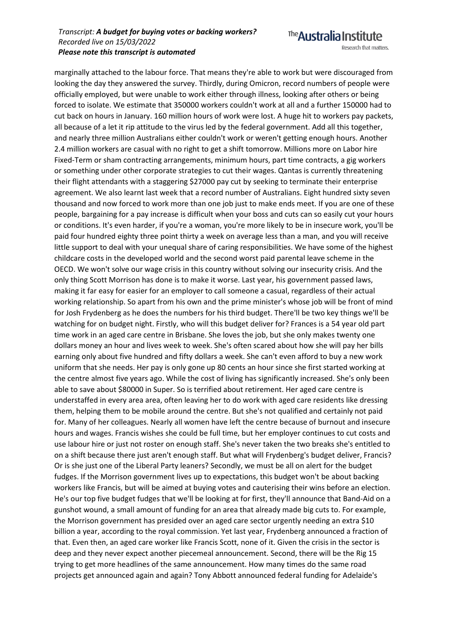Research that matters.

The **Australia Institute** 

marginally attached to the labour force. That means they're able to work but were discouraged from looking the day they answered the survey. Thirdly, during Omicron, record numbers of people were officially employed, but were unable to work either through illness, looking after others or being forced to isolate. We estimate that 350000 workers couldn't work at all and a further 150000 had to cut back on hours in January. 160 million hours of work were lost. A huge hit to workers pay packets, all because of a let it rip attitude to the virus led by the federal government. Add all this together, and nearly three million Australians either couldn't work or weren't getting enough hours. Another 2.4 million workers are casual with no right to get a shift tomorrow. Millions more on Labor hire Fixed-Term or sham contracting arrangements, minimum hours, part time contracts, a gig workers or something under other corporate strategies to cut their wages. Qantas is currently threatening their flight attendants with a staggering \$27000 pay cut by seeking to terminate their enterprise agreement. We also learnt last week that a record number of Australians. Eight hundred sixty seven thousand and now forced to work more than one job just to make ends meet. If you are one of these people, bargaining for a pay increase is difficult when your boss and cuts can so easily cut your hours or conditions. It's even harder, if you're a woman, you're more likely to be in insecure work, you'll be paid four hundred eighty three point thirty a week on average less than a man, and you will receive little support to deal with your unequal share of caring responsibilities. We have some of the highest childcare costs in the developed world and the second worst paid parental leave scheme in the OECD. We won't solve our wage crisis in this country without solving our insecurity crisis. And the only thing Scott Morrison has done is to make it worse. Last year, his government passed laws, making it far easy for easier for an employer to call someone a casual, regardless of their actual working relationship. So apart from his own and the prime minister's whose job will be front of mind for Josh Frydenberg as he does the numbers for his third budget. There'll be two key things we'll be watching for on budget night. Firstly, who will this budget deliver for? Frances is a 54 year old part time work in an aged care centre in Brisbane. She loves the job, but she only makes twenty one dollars money an hour and lives week to week. She's often scared about how she will pay her bills earning only about five hundred and fifty dollars a week. She can't even afford to buy a new work uniform that she needs. Her pay is only gone up 80 cents an hour since she first started working at the centre almost five years ago. While the cost of living has significantly increased. She's only been able to save about \$80000 in Super. So is terrified about retirement. Her aged care centre is understaffed in every area area, often leaving her to do work with aged care residents like dressing them, helping them to be mobile around the centre. But she's not qualified and certainly not paid for. Many of her colleagues. Nearly all women have left the centre because of burnout and insecure hours and wages. Francis wishes she could be full time, but her employer continues to cut costs and use labour hire or just not roster on enough staff. She's never taken the two breaks she's entitled to on a shift because there just aren't enough staff. But what will Frydenberg's budget deliver, Francis? Or is she just one of the Liberal Party leaners? Secondly, we must be all on alert for the budget fudges. If the Morrison government lives up to expectations, this budget won't be about backing workers like Francis, but will be aimed at buying votes and cauterising their wins before an election. He's our top five budget fudges that we'll be looking at for first, they'll announce that Band-Aid on a gunshot wound, a small amount of funding for an area that already made big cuts to. For example, the Morrison government has presided over an aged care sector urgently needing an extra \$10 billion a year, according to the royal commission. Yet last year, Frydenberg announced a fraction of that. Even then, an aged care worker like Francis Scott, none of it. Given the crisis in the sector is deep and they never expect another piecemeal announcement. Second, there will be the Rig 15 trying to get more headlines of the same announcement. How many times do the same road projects get announced again and again? Tony Abbott announced federal funding for Adelaide's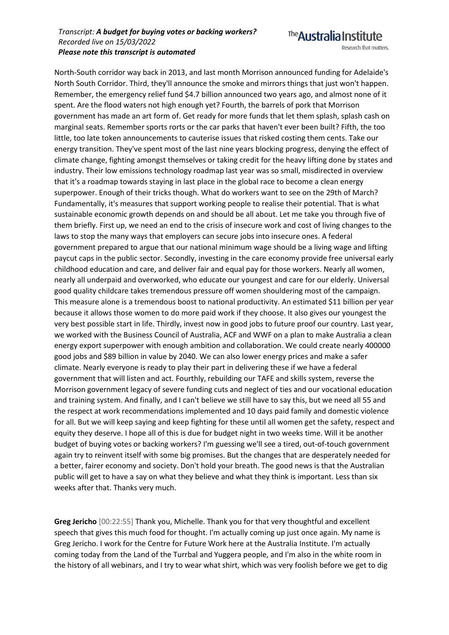The **Australia Institute** Research that matters.

North-South corridor way back in 2013, and last month Morrison announced funding for Adelaide's North South Corridor. Third, they'll announce the smoke and mirrors things that just won't happen. Remember, the emergency relief fund \$4.7 billion announced two years ago, and almost none of it spent. Are the flood waters not high enough yet? Fourth, the barrels of pork that Morrison government has made an art form of. Get ready for more funds that let them splash, splash cash on marginal seats. Remember sports rorts or the car parks that haven't ever been built? Fifth, the too little, too late token announcements to cauterise issues that risked costing them cents. Take our energy transition. They've spent most of the last nine years blocking progress, denying the effect of climate change, fighting amongst themselves or taking credit for the heavy lifting done by states and industry. Their low emissions technology roadmap last year was so small, misdirected in overview that it's a roadmap towards staying in last place in the global race to become a clean energy superpower. Enough of their tricks though. What do workers want to see on the 29th of March? Fundamentally, it's measures that support working people to realise their potential. That is what sustainable economic growth depends on and should be all about. Let me take you through five of them briefly. First up, we need an end to the crisis of insecure work and cost of living changes to the laws to stop the many ways that employers can secure jobs into insecure ones. A federal government prepared to argue that our national minimum wage should be a living wage and lifting paycut caps in the public sector. Secondly, investing in the care economy provide free universal early childhood education and care, and deliver fair and equal pay for those workers. Nearly all women, nearly all underpaid and overworked, who educate our youngest and care for our elderly. Universal good quality childcare takes tremendous pressure off women shouldering most of the campaign. This measure alone is a tremendous boost to national productivity. An estimated \$11 billion per year because it allows those women to do more paid work if they choose. It also gives our youngest the very best possible start in life. Thirdly, invest now in good jobs to future proof our country. Last year, we worked with the Business Council of Australia, ACF and WWF on a plan to make Australia a clean energy export superpower with enough ambition and collaboration. We could create nearly 400000 good jobs and \$89 billion in value by 2040. We can also lower energy prices and make a safer climate. Nearly everyone is ready to play their part in delivering these if we have a federal government that will listen and act. Fourthly, rebuilding our TAFE and skills system, reverse the Morrison government legacy of severe funding cuts and neglect of ties and our vocational education and training system. And finally, and I can't believe we still have to say this, but we need all 55 and the respect at work recommendations implemented and 10 days paid family and domestic violence for all. But we will keep saying and keep fighting for these until all women get the safety, respect and equity they deserve. I hope all of this is due for budget night in two weeks time. Will it be another budget of buying votes or backing workers? I'm guessing we'll see a tired, out-of-touch government again try to reinvent itself with some big promises. But the changes that are desperately needed for a better, fairer economy and society. Don't hold your breath. The good news is that the Australian public will get to have a say on what they believe and what they think is important. Less than six weeks after that. Thanks very much.

**Greg Jericho** [00:22:55] Thank you, Michelle. Thank you for that very thoughtful and excellent speech that gives this much food for thought. I'm actually coming up just once again. My name is Greg Jericho. I work for the Centre for Future Work here at the Australia Institute. I'm actually coming today from the Land of the Turrbal and Yuggera people, and I'm also in the white room in the history of all webinars, and I try to wear what shirt, which was very foolish before we get to dig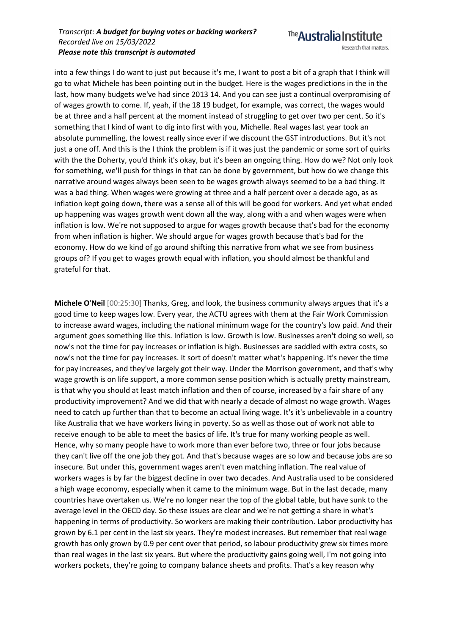The **Australia Institute** Research that matters.

into a few things I do want to just put because it's me, I want to post a bit of a graph that I think will go to what Michele has been pointing out in the budget. Here is the wages predictions in the in the last, how many budgets we've had since 2013 14. And you can see just a continual overpromising of of wages growth to come. If, yeah, if the 18 19 budget, for example, was correct, the wages would be at three and a half percent at the moment instead of struggling to get over two per cent. So it's something that I kind of want to dig into first with you, Michelle. Real wages last year took an absolute pummelling, the lowest really since ever if we discount the GST introductions. But it's not just a one off. And this is the I think the problem is if it was just the pandemic or some sort of quirks with the the Doherty, you'd think it's okay, but it's been an ongoing thing. How do we? Not only look for something, we'll push for things in that can be done by government, but how do we change this narrative around wages always been seen to be wages growth always seemed to be a bad thing. It was a bad thing. When wages were growing at three and a half percent over a decade ago, as as inflation kept going down, there was a sense all of this will be good for workers. And yet what ended up happening was wages growth went down all the way, along with a and when wages were when inflation is low. We're not supposed to argue for wages growth because that's bad for the economy from when inflation is higher. We should argue for wages growth because that's bad for the economy. How do we kind of go around shifting this narrative from what we see from business groups of? If you get to wages growth equal with inflation, you should almost be thankful and grateful for that.

**Michele O'Neil** [00:25:30] Thanks, Greg, and look, the business community always argues that it's a good time to keep wages low. Every year, the ACTU agrees with them at the Fair Work Commission to increase award wages, including the national minimum wage for the country's low paid. And their argument goes something like this. Inflation is low. Growth is low. Businesses aren't doing so well, so now's not the time for pay increases or inflation is high. Businesses are saddled with extra costs, so now's not the time for pay increases. It sort of doesn't matter what's happening. It's never the time for pay increases, and they've largely got their way. Under the Morrison government, and that's why wage growth is on life support, a more common sense position which is actually pretty mainstream, is that why you should at least match inflation and then of course, increased by a fair share of any productivity improvement? And we did that with nearly a decade of almost no wage growth. Wages need to catch up further than that to become an actual living wage. It's it's unbelievable in a country like Australia that we have workers living in poverty. So as well as those out of work not able to receive enough to be able to meet the basics of life. It's true for many working people as well. Hence, why so many people have to work more than ever before two, three or four jobs because they can't live off the one job they got. And that's because wages are so low and because jobs are so insecure. But under this, government wages aren't even matching inflation. The real value of workers wages is by far the biggest decline in over two decades. And Australia used to be considered a high wage economy, especially when it came to the minimum wage. But in the last decade, many countries have overtaken us. We're no longer near the top of the global table, but have sunk to the average level in the OECD day. So these issues are clear and we're not getting a share in what's happening in terms of productivity. So workers are making their contribution. Labor productivity has grown by 6.1 per cent in the last six years. They're modest increases. But remember that real wage growth has only grown by 0.9 per cent over that period, so labour productivity grew six times more than real wages in the last six years. But where the productivity gains going well, I'm not going into workers pockets, they're going to company balance sheets and profits. That's a key reason why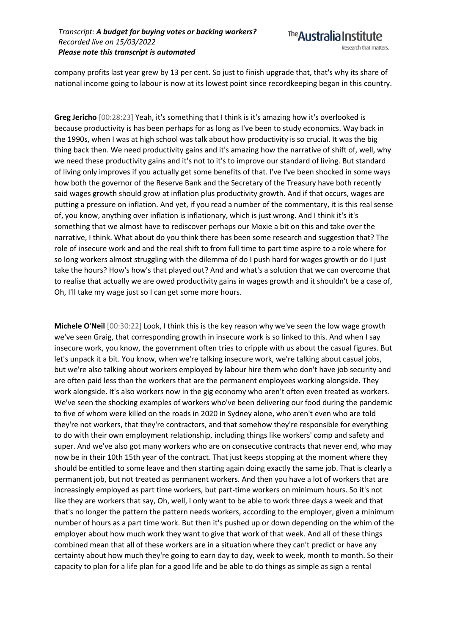

company profits last year grew by 13 per cent. So just to finish upgrade that, that's why its share of national income going to labour is now at its lowest point since recordkeeping began in this country.

**Greg Jericho** [00:28:23] Yeah, it's something that I think is it's amazing how it's overlooked is because productivity is has been perhaps for as long as I've been to study economics. Way back in the 1990s, when I was at high school was talk about how productivity is so crucial. It was the big thing back then. We need productivity gains and it's amazing how the narrative of shift of, well, why we need these productivity gains and it's not to it's to improve our standard of living. But standard of living only improves if you actually get some benefits of that. I've I've been shocked in some ways how both the governor of the Reserve Bank and the Secretary of the Treasury have both recently said wages growth should grow at inflation plus productivity growth. And if that occurs, wages are putting a pressure on inflation. And yet, if you read a number of the commentary, it is this real sense of, you know, anything over inflation is inflationary, which is just wrong. And I think it's it's something that we almost have to rediscover perhaps our Moxie a bit on this and take over the narrative, I think. What about do you think there has been some research and suggestion that? The role of insecure work and and the real shift to from full time to part time aspire to a role where for so long workers almost struggling with the dilemma of do I push hard for wages growth or do I just take the hours? How's how's that played out? And and what's a solution that we can overcome that to realise that actually we are owed productivity gains in wages growth and it shouldn't be a case of, Oh, I'll take my wage just so I can get some more hours.

**Michele O'Neil** [00:30:22] Look, I think this is the key reason why we've seen the low wage growth we've seen Graig, that corresponding growth in insecure work is so linked to this. And when I say insecure work, you know, the government often tries to cripple with us about the casual figures. But let's unpack it a bit. You know, when we're talking insecure work, we're talking about casual jobs, but we're also talking about workers employed by labour hire them who don't have job security and are often paid less than the workers that are the permanent employees working alongside. They work alongside. It's also workers now in the gig economy who aren't often even treated as workers. We've seen the shocking examples of workers who've been delivering our food during the pandemic to five of whom were killed on the roads in 2020 in Sydney alone, who aren't even who are told they're not workers, that they're contractors, and that somehow they're responsible for everything to do with their own employment relationship, including things like workers' comp and safety and super. And we've also got many workers who are on consecutive contracts that never end, who may now be in their 10th 15th year of the contract. That just keeps stopping at the moment where they should be entitled to some leave and then starting again doing exactly the same job. That is clearly a permanent job, but not treated as permanent workers. And then you have a lot of workers that are increasingly employed as part time workers, but part-time workers on minimum hours. So it's not like they are workers that say, Oh, well, I only want to be able to work three days a week and that that's no longer the pattern the pattern needs workers, according to the employer, given a minimum number of hours as a part time work. But then it's pushed up or down depending on the whim of the employer about how much work they want to give that work of that week. And all of these things combined mean that all of these workers are in a situation where they can't predict or have any certainty about how much they're going to earn day to day, week to week, month to month. So their capacity to plan for a life plan for a good life and be able to do things as simple as sign a rental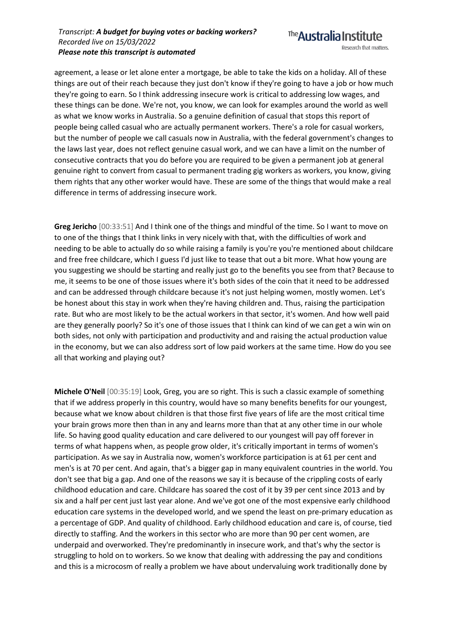The **Australia Institute** Research that matters.

agreement, a lease or let alone enter a mortgage, be able to take the kids on a holiday. All of these things are out of their reach because they just don't know if they're going to have a job or how much they're going to earn. So I think addressing insecure work is critical to addressing low wages, and these things can be done. We're not, you know, we can look for examples around the world as well as what we know works in Australia. So a genuine definition of casual that stops this report of people being called casual who are actually permanent workers. There's a role for casual workers, but the number of people we call casuals now in Australia, with the federal government's changes to the laws last year, does not reflect genuine casual work, and we can have a limit on the number of consecutive contracts that you do before you are required to be given a permanent job at general genuine right to convert from casual to permanent trading gig workers as workers, you know, giving them rights that any other worker would have. These are some of the things that would make a real difference in terms of addressing insecure work.

**Greg Jericho** [00:33:51] And I think one of the things and mindful of the time. So I want to move on to one of the things that I think links in very nicely with that, with the difficulties of work and needing to be able to actually do so while raising a family is you're you're mentioned about childcare and free free childcare, which I guess I'd just like to tease that out a bit more. What how young are you suggesting we should be starting and really just go to the benefits you see from that? Because to me, it seems to be one of those issues where it's both sides of the coin that it need to be addressed and can be addressed through childcare because it's not just helping women, mostly women. Let's be honest about this stay in work when they're having children and. Thus, raising the participation rate. But who are most likely to be the actual workers in that sector, it's women. And how well paid are they generally poorly? So it's one of those issues that I think can kind of we can get a win win on both sides, not only with participation and productivity and and raising the actual production value in the economy, but we can also address sort of low paid workers at the same time. How do you see all that working and playing out?

**Michele O'Neil** [00:35:19] Look, Greg, you are so right. This is such a classic example of something that if we address properly in this country, would have so many benefits benefits for our youngest, because what we know about children is that those first five years of life are the most critical time your brain grows more then than in any and learns more than that at any other time in our whole life. So having good quality education and care delivered to our youngest will pay off forever in terms of what happens when, as people grow older, it's critically important in terms of women's participation. As we say in Australia now, women's workforce participation is at 61 per cent and men's is at 70 per cent. And again, that's a bigger gap in many equivalent countries in the world. You don't see that big a gap. And one of the reasons we say it is because of the crippling costs of early childhood education and care. Childcare has soared the cost of it by 39 per cent since 2013 and by six and a half per cent just last year alone. And we've got one of the most expensive early childhood education care systems in the developed world, and we spend the least on pre-primary education as a percentage of GDP. And quality of childhood. Early childhood education and care is, of course, tied directly to staffing. And the workers in this sector who are more than 90 per cent women, are underpaid and overworked. They're predominantly in insecure work, and that's why the sector is struggling to hold on to workers. So we know that dealing with addressing the pay and conditions and this is a microcosm of really a problem we have about undervaluing work traditionally done by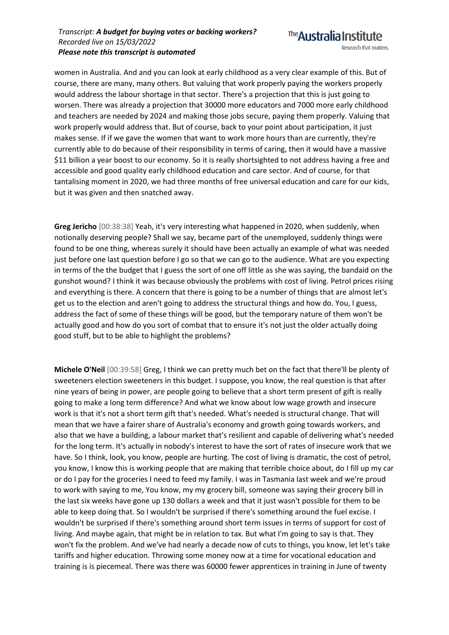women in Australia. And and you can look at early childhood as a very clear example of this. But of course, there are many, many others. But valuing that work properly paying the workers properly would address the labour shortage in that sector. There's a projection that this is just going to worsen. There was already a projection that 30000 more educators and 7000 more early childhood and teachers are needed by 2024 and making those jobs secure, paying them properly. Valuing that work properly would address that. But of course, back to your point about participation, it just makes sense. If if we gave the women that want to work more hours than are currently, they're currently able to do because of their responsibility in terms of caring, then it would have a massive \$11 billion a year boost to our economy. So it is really shortsighted to not address having a free and accessible and good quality early childhood education and care sector. And of course, for that tantalising moment in 2020, we had three months of free universal education and care for our kids, but it was given and then snatched away.

**Greg Jericho** [00:38:38] Yeah, it's very interesting what happened in 2020, when suddenly, when notionally deserving people? Shall we say, became part of the unemployed, suddenly things were found to be one thing, whereas surely it should have been actually an example of what was needed just before one last question before I go so that we can go to the audience. What are you expecting in terms of the the budget that I guess the sort of one off little as she was saying, the bandaid on the gunshot wound? I think it was because obviously the problems with cost of living. Petrol prices rising and everything is there. A concern that there is going to be a number of things that are almost let's get us to the election and aren't going to address the structural things and how do. You, I guess, address the fact of some of these things will be good, but the temporary nature of them won't be actually good and how do you sort of combat that to ensure it's not just the older actually doing good stuff, but to be able to highlight the problems?

**Michele O'Neil** [00:39:58] Greg, I think we can pretty much bet on the fact that there'll be plenty of sweeteners election sweeteners in this budget. I suppose, you know, the real question is that after nine years of being in power, are people going to believe that a short term present of gift is really going to make a long term difference? And what we know about low wage growth and insecure work is that it's not a short term gift that's needed. What's needed is structural change. That will mean that we have a fairer share of Australia's economy and growth going towards workers, and also that we have a building, a labour market that's resilient and capable of delivering what's needed for the long term. It's actually in nobody's interest to have the sort of rates of insecure work that we have. So I think, look, you know, people are hurting. The cost of living is dramatic, the cost of petrol, you know, I know this is working people that are making that terrible choice about, do I fill up my car or do I pay for the groceries I need to feed my family. I was in Tasmania last week and we're proud to work with saying to me, You know, my my grocery bill, someone was saying their grocery bill in the last six weeks have gone up 130 dollars a week and that it just wasn't possible for them to be able to keep doing that. So I wouldn't be surprised if there's something around the fuel excise. I wouldn't be surprised if there's something around short term issues in terms of support for cost of living. And maybe again, that might be in relation to tax. But what I'm going to say is that. They won't fix the problem. And we've had nearly a decade now of cuts to things, you know, let let's take tariffs and higher education. Throwing some money now at a time for vocational education and training is is piecemeal. There was there was 60000 fewer apprentices in training in June of twenty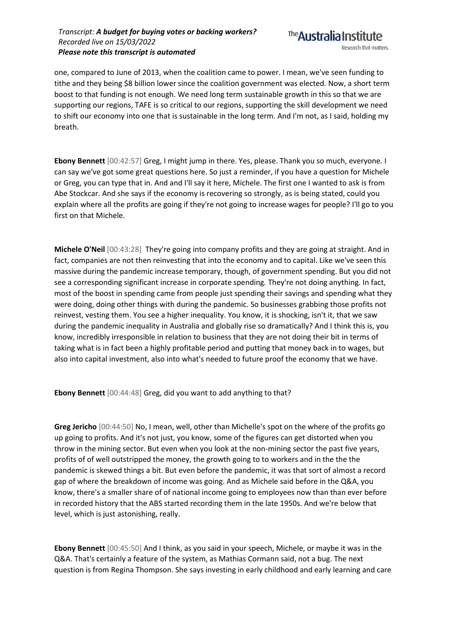

one, compared to June of 2013, when the coalition came to power. I mean, we've seen funding to tithe and they being \$8 billion lower since the coalition government was elected. Now, a short term boost to that funding is not enough. We need long term sustainable growth in this so that we are supporting our regions, TAFE is so critical to our regions, supporting the skill development we need to shift our economy into one that is sustainable in the long term. And I'm not, as I said, holding my breath.

**Ebony Bennett** [00:42:57] Greg, I might jump in there. Yes, please. Thank you so much, everyone. I can say we've got some great questions here. So just a reminder, if you have a question for Michele or Greg, you can type that in. And and I'll say it here, Michele. The first one I wanted to ask is from Abe Stockcar. And she says if the economy is recovering so strongly, as is being stated, could you explain where all the profits are going if they're not going to increase wages for people? I'll go to you first on that Michele.

**Michele O'Neil** [00:43:28] They're going into company profits and they are going at straight. And in fact, companies are not then reinvesting that into the economy and to capital. Like we've seen this massive during the pandemic increase temporary, though, of government spending. But you did not see a corresponding significant increase in corporate spending. They're not doing anything. In fact, most of the boost in spending came from people just spending their savings and spending what they were doing, doing other things with during the pandemic. So businesses grabbing those profits not reinvest, vesting them. You see a higher inequality. You know, it is shocking, isn't it, that we saw during the pandemic inequality in Australia and globally rise so dramatically? And I think this is, you know, incredibly irresponsible in relation to business that they are not doing their bit in terms of taking what is in fact been a highly profitable period and putting that money back in to wages, but also into capital investment, also into what's needed to future proof the economy that we have.

**Ebony Bennett** [00:44:48] Greg, did you want to add anything to that?

**Greg Jericho** [00:44:50] No, I mean, well, other than Michelle's spot on the where of the profits go up going to profits. And it's not just, you know, some of the figures can get distorted when you throw in the mining sector. But even when you look at the non-mining sector the past five years, profits of of well outstripped the money, the growth going to to workers and in the the the pandemic is skewed things a bit. But even before the pandemic, it was that sort of almost a record gap of where the breakdown of income was going. And as Michele said before in the Q&A, you know, there's a smaller share of of national income going to employees now than than ever before in recorded history that the ABS started recording them in the late 1950s. And we're below that level, which is just astonishing, really.

**Ebony Bennett** [00:45:50] And I think, as you said in your speech, Michele, or maybe it was in the Q&A. That's certainly a feature of the system, as Mathias Cormann said, not a bug. The next question is from Regina Thompson. She says investing in early childhood and early learning and care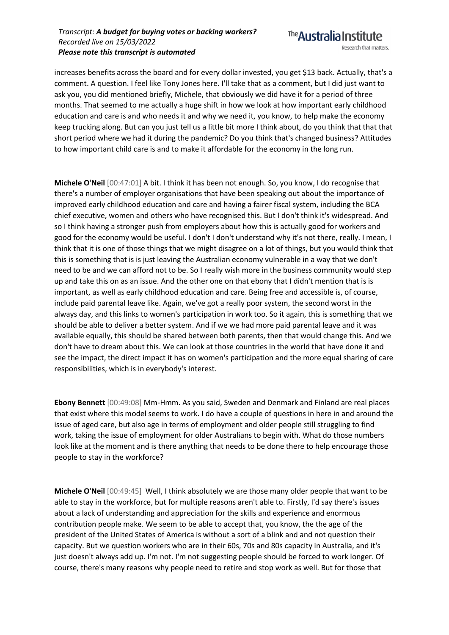

increases benefits across the board and for every dollar invested, you get \$13 back. Actually, that's a comment. A question. I feel like Tony Jones here. I'll take that as a comment, but I did just want to ask you, you did mentioned briefly, Michele, that obviously we did have it for a period of three months. That seemed to me actually a huge shift in how we look at how important early childhood education and care is and who needs it and why we need it, you know, to help make the economy keep trucking along. But can you just tell us a little bit more I think about, do you think that that that short period where we had it during the pandemic? Do you think that's changed business? Attitudes to how important child care is and to make it affordable for the economy in the long run.

**Michele O'Neil** [00:47:01] A bit. I think it has been not enough. So, you know, I do recognise that there's a number of employer organisations that have been speaking out about the importance of improved early childhood education and care and having a fairer fiscal system, including the BCA chief executive, women and others who have recognised this. But I don't think it's widespread. And so I think having a stronger push from employers about how this is actually good for workers and good for the economy would be useful. I don't I don't understand why it's not there, really. I mean, I think that it is one of those things that we might disagree on a lot of things, but you would think that this is something that is is just leaving the Australian economy vulnerable in a way that we don't need to be and we can afford not to be. So I really wish more in the business community would step up and take this on as an issue. And the other one on that ebony that I didn't mention that is is important, as well as early childhood education and care. Being free and accessible is, of course, include paid parental leave like. Again, we've got a really poor system, the second worst in the always day, and this links to women's participation in work too. So it again, this is something that we should be able to deliver a better system. And if we we had more paid parental leave and it was available equally, this should be shared between both parents, then that would change this. And we don't have to dream about this. We can look at those countries in the world that have done it and see the impact, the direct impact it has on women's participation and the more equal sharing of care responsibilities, which is in everybody's interest.

**Ebony Bennett** [00:49:08] Mm-Hmm. As you said, Sweden and Denmark and Finland are real places that exist where this model seems to work. I do have a couple of questions in here in and around the issue of aged care, but also age in terms of employment and older people still struggling to find work, taking the issue of employment for older Australians to begin with. What do those numbers look like at the moment and is there anything that needs to be done there to help encourage those people to stay in the workforce?

**Michele O'Neil** [00:49:45] Well, I think absolutely we are those many older people that want to be able to stay in the workforce, but for multiple reasons aren't able to. Firstly, I'd say there's issues about a lack of understanding and appreciation for the skills and experience and enormous contribution people make. We seem to be able to accept that, you know, the the age of the president of the United States of America is without a sort of a blink and and not question their capacity. But we question workers who are in their 60s, 70s and 80s capacity in Australia, and it's just doesn't always add up. I'm not. I'm not suggesting people should be forced to work longer. Of course, there's many reasons why people need to retire and stop work as well. But for those that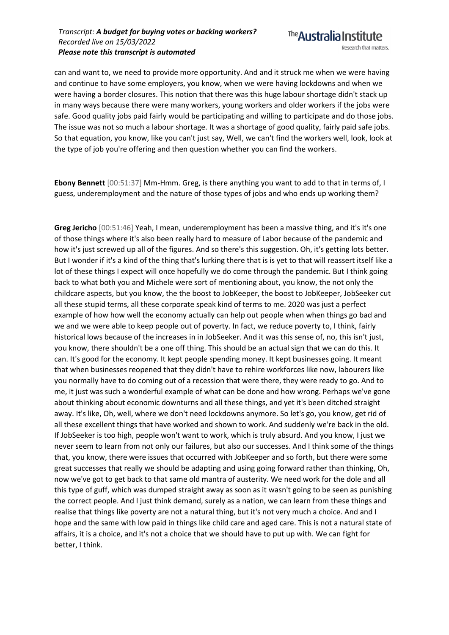can and want to, we need to provide more opportunity. And and it struck me when we were having and continue to have some employers, you know, when we were having lockdowns and when we were having a border closures. This notion that there was this huge labour shortage didn't stack up in many ways because there were many workers, young workers and older workers if the jobs were safe. Good quality jobs paid fairly would be participating and willing to participate and do those jobs. The issue was not so much a labour shortage. It was a shortage of good quality, fairly paid safe jobs. So that equation, you know, like you can't just say, Well, we can't find the workers well, look, look at the type of job you're offering and then question whether you can find the workers.

**Ebony Bennett** [00:51:37] Mm-Hmm. Greg, is there anything you want to add to that in terms of, I guess, underemployment and the nature of those types of jobs and who ends up working them?

**Greg Jericho** [00:51:46] Yeah, I mean, underemployment has been a massive thing, and it's it's one of those things where it's also been really hard to measure of Labor because of the pandemic and how it's just screwed up all of the figures. And so there's this suggestion. Oh, it's getting lots better. But I wonder if it's a kind of the thing that's lurking there that is is yet to that will reassert itself like a lot of these things I expect will once hopefully we do come through the pandemic. But I think going back to what both you and Michele were sort of mentioning about, you know, the not only the childcare aspects, but you know, the the boost to JobKeeper, the boost to JobKeeper, JobSeeker cut all these stupid terms, all these corporate speak kind of terms to me. 2020 was just a perfect example of how how well the economy actually can help out people when when things go bad and we and we were able to keep people out of poverty. In fact, we reduce poverty to, I think, fairly historical lows because of the increases in in JobSeeker. And it was this sense of, no, this isn't just, you know, there shouldn't be a one off thing. This should be an actual sign that we can do this. It can. It's good for the economy. It kept people spending money. It kept businesses going. It meant that when businesses reopened that they didn't have to rehire workforces like now, labourers like you normally have to do coming out of a recession that were there, they were ready to go. And to me, it just was such a wonderful example of what can be done and how wrong. Perhaps we've gone about thinking about economic downturns and all these things, and yet it's been ditched straight away. It's like, Oh, well, where we don't need lockdowns anymore. So let's go, you know, get rid of all these excellent things that have worked and shown to work. And suddenly we're back in the old. If JobSeeker is too high, people won't want to work, which is truly absurd. And you know, I just we never seem to learn from not only our failures, but also our successes. And I think some of the things that, you know, there were issues that occurred with JobKeeper and so forth, but there were some great successes that really we should be adapting and using going forward rather than thinking, Oh, now we've got to get back to that same old mantra of austerity. We need work for the dole and all this type of guff, which was dumped straight away as soon as it wasn't going to be seen as punishing the correct people. And I just think demand, surely as a nation, we can learn from these things and realise that things like poverty are not a natural thing, but it's not very much a choice. And and I hope and the same with low paid in things like child care and aged care. This is not a natural state of affairs, it is a choice, and it's not a choice that we should have to put up with. We can fight for better, I think.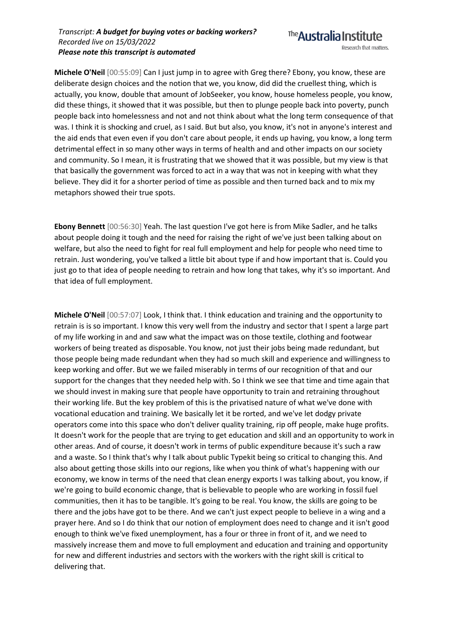

**Michele O'Neil** [00:55:09] Can I just jump in to agree with Greg there? Ebony, you know, these are deliberate design choices and the notion that we, you know, did did the cruellest thing, which is actually, you know, double that amount of JobSeeker, you know, house homeless people, you know, did these things, it showed that it was possible, but then to plunge people back into poverty, punch people back into homelessness and not and not think about what the long term consequence of that was. I think it is shocking and cruel, as I said. But but also, you know, it's not in anyone's interest and the aid ends that even even if you don't care about people, it ends up having, you know, a long term detrimental effect in so many other ways in terms of health and and other impacts on our society and community. So I mean, it is frustrating that we showed that it was possible, but my view is that that basically the government was forced to act in a way that was not in keeping with what they believe. They did it for a shorter period of time as possible and then turned back and to mix my metaphors showed their true spots.

**Ebony Bennett** [00:56:30] Yeah. The last question I've got here is from Mike Sadler, and he talks about people doing it tough and the need for raising the right of we've just been talking about on welfare, but also the need to fight for real full employment and help for people who need time to retrain. Just wondering, you've talked a little bit about type if and how important that is. Could you just go to that idea of people needing to retrain and how long that takes, why it's so important. And that idea of full employment.

**Michele O'Neil** [00:57:07] Look, I think that. I think education and training and the opportunity to retrain is is so important. I know this very well from the industry and sector that I spent a large part of my life working in and and saw what the impact was on those textile, clothing and footwear workers of being treated as disposable. You know, not just their jobs being made redundant, but those people being made redundant when they had so much skill and experience and willingness to keep working and offer. But we we failed miserably in terms of our recognition of that and our support for the changes that they needed help with. So I think we see that time and time again that we should invest in making sure that people have opportunity to train and retraining throughout their working life. But the key problem of this is the privatised nature of what we've done with vocational education and training. We basically let it be rorted, and we've let dodgy private operators come into this space who don't deliver quality training, rip off people, make huge profits. It doesn't work for the people that are trying to get education and skill and an opportunity to work in other areas. And of course, it doesn't work in terms of public expenditure because it's such a raw and a waste. So I think that's why I talk about public Typekit being so critical to changing this. And also about getting those skills into our regions, like when you think of what's happening with our economy, we know in terms of the need that clean energy exports I was talking about, you know, if we're going to build economic change, that is believable to people who are working in fossil fuel communities, then it has to be tangible. It's going to be real. You know, the skills are going to be there and the jobs have got to be there. And we can't just expect people to believe in a wing and a prayer here. And so I do think that our notion of employment does need to change and it isn't good enough to think we've fixed unemployment, has a four or three in front of it, and we need to massively increase them and move to full employment and education and training and opportunity for new and different industries and sectors with the workers with the right skill is critical to delivering that.